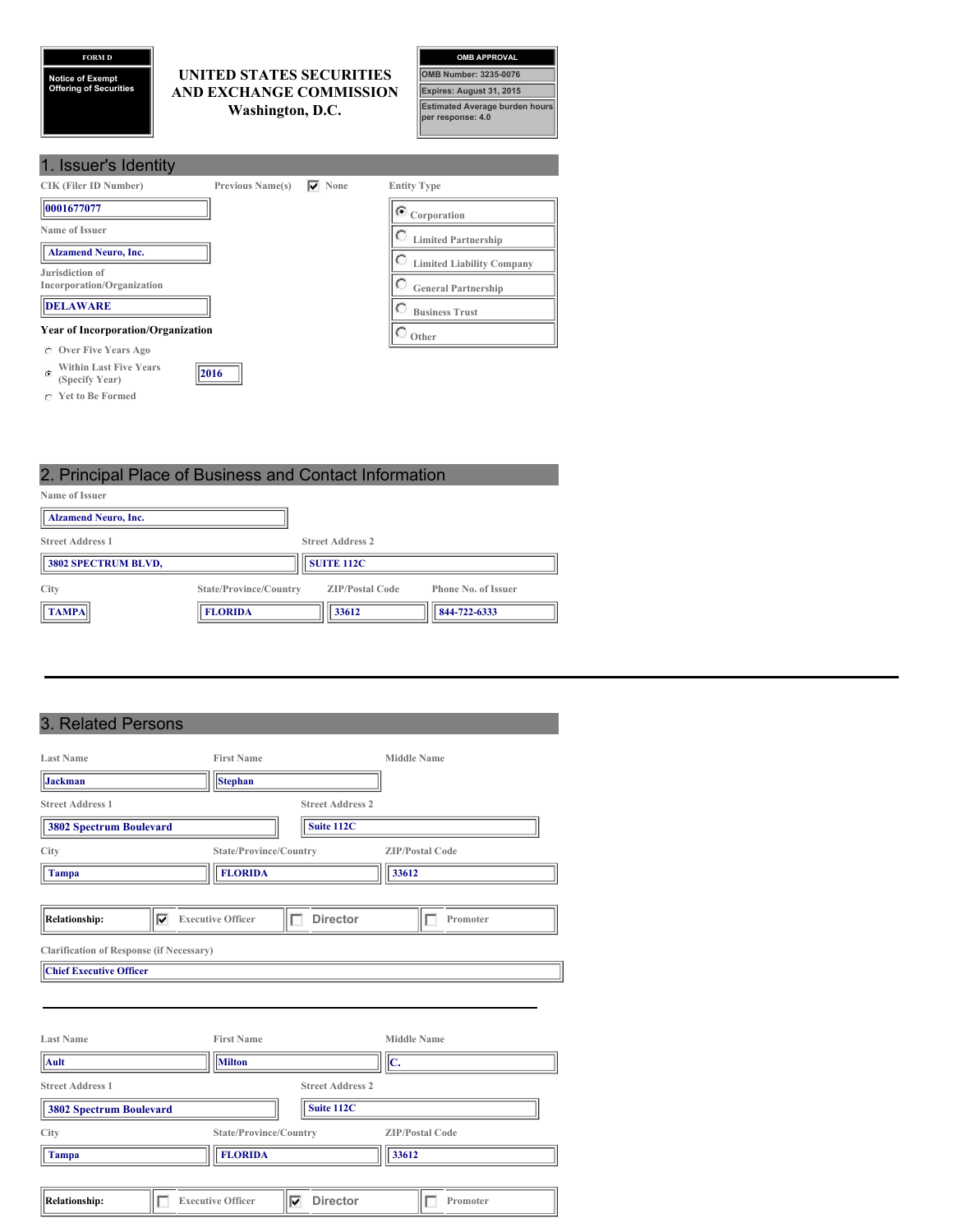**FORM D**

**Notice of Exempt Offering of Securities**

## **UNITED STATES SECURITIES AND EXCHANGE COMMISSION Washington, D.C.**

| <b>OMB APPROVAL</b>                                        |
|------------------------------------------------------------|
| <b>OMB Number: 3235-0076</b>                               |
| Expires: August 31, 2015                                   |
| <b>Estimated Average burden hours</b><br>per response: 4.0 |

| 1. Issuer's Identity                                        |                         |           |                                  |
|-------------------------------------------------------------|-------------------------|-----------|----------------------------------|
| <b>CIK (Filer ID Number)</b>                                | <b>Previous Name(s)</b> | None<br>▽ | <b>Entity Type</b>               |
| 0001677077                                                  |                         |           | $\bullet$ Corporation            |
| Name of Issuer                                              |                         |           | <b>Limited Partnership</b>       |
| <b>Alzamend Neuro, Inc.</b>                                 |                         |           | <b>Limited Liability Company</b> |
| Jurisdiction of<br>Incorporation/Organization               |                         |           | <b>General Partnership</b>       |
| <b>DELAWARE</b>                                             |                         |           | <b>Business Trust</b>            |
| <b>Year of Incorporation/Organization</b>                   |                         |           | $\circ$ Other                    |
| <b>Over Five Years Ago</b><br>C.                            |                         |           |                                  |
| <b>Within Last Five Years</b><br>$\alpha$<br>(Specify Year) | 2016                    |           |                                  |

**Yet to Be Formed**

# 2. Principal Place of Business and Contact Information

| Name of Issuer              |                        |                         |                            |
|-----------------------------|------------------------|-------------------------|----------------------------|
| <b>Alzamend Neuro, Inc.</b> |                        |                         |                            |
| <b>Street Address 1</b>     |                        | <b>Street Address 2</b> |                            |
| 3802 SPECTRUM BLVD,         |                        | <b>SUITE 112C</b>       |                            |
| City                        | State/Province/Country | <b>ZIP/Postal Code</b>  | <b>Phone No. of Issuer</b> |
| <b>TAMPA</b>                | <b>FLORIDA</b>         | 33612                   | 844-722-6333               |

# 3. Related Persons

| <b>Last Name</b>                                                                  |   | <b>First Name</b>        |                         | <b>Middle Name</b>     |
|-----------------------------------------------------------------------------------|---|--------------------------|-------------------------|------------------------|
| Jackman                                                                           |   | <b>Stephan</b>           |                         |                        |
| <b>Street Address 1</b>                                                           |   |                          | <b>Street Address 2</b> |                        |
| <b>3802 Spectrum Boulevard</b>                                                    |   |                          | Suite 112C              |                        |
| City                                                                              |   | State/Province/Country   |                         | <b>ZIP/Postal Code</b> |
| <b>Tampa</b>                                                                      |   | <b>FLORIDA</b>           |                         | 33612                  |
|                                                                                   |   |                          |                         |                        |
| <b>Relationship:</b>                                                              | ⊽ | <b>Executive Officer</b> | <b>Director</b>         | Promoter               |
| <b>Clarification of Response (if Necessary)</b><br><b>Chief Executive Officer</b> |   |                          |                         |                        |
|                                                                                   |   |                          |                         |                        |
| <b>Last Name</b>                                                                  |   | <b>First Name</b>        |                         | <b>Middle Name</b>     |
| Ault                                                                              |   | Milton                   |                         | $ {\bf c}.$            |
| <b>Street Address 1</b>                                                           |   |                          | <b>Street Address 2</b> |                        |
| <b>3802 Spectrum Boulevard</b>                                                    |   |                          | Suite 112C              |                        |
| <b>City</b>                                                                       |   | State/Province/Country   |                         | <b>ZIP/Postal Code</b> |
| <b>Tampa</b>                                                                      |   | <b>FLORIDA</b>           |                         | 33612                  |
|                                                                                   |   |                          |                         |                        |
| <b>Relationship:</b>                                                              |   | <b>Executive Officer</b> | <b>Director</b><br>⊽    | Promoter               |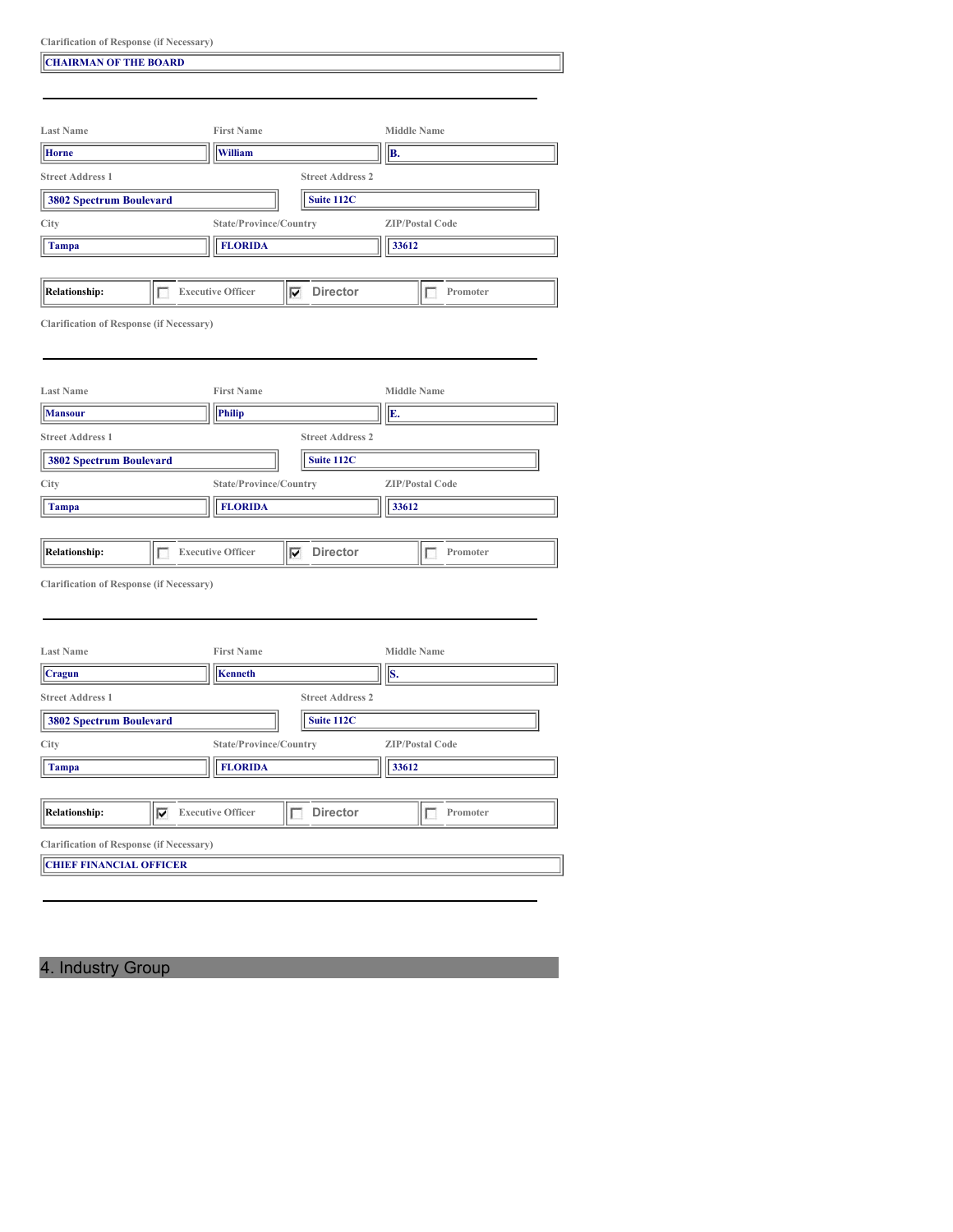|  |  | <b>Clarification of Response (if Necessary)</b> |
|--|--|-------------------------------------------------|
|--|--|-------------------------------------------------|

| <b>CHAIRMAN OF THE BOARD</b>                                                      |                                        |                         |                        |
|-----------------------------------------------------------------------------------|----------------------------------------|-------------------------|------------------------|
|                                                                                   |                                        |                         |                        |
| <b>Last Name</b>                                                                  | <b>First Name</b>                      |                         | <b>Middle Name</b>     |
| <b>Horne</b>                                                                      | <b>William</b>                         |                         | B.                     |
| <b>Street Address 1</b>                                                           |                                        | <b>Street Address 2</b> |                        |
| <b>3802 Spectrum Boulevard</b>                                                    |                                        | Suite 112C              |                        |
| City                                                                              | State/Province/Country                 |                         | <b>ZIP/Postal Code</b> |
| Tampa                                                                             | <b>FLORIDA</b>                         |                         | 33612                  |
|                                                                                   |                                        |                         |                        |
| <b>Relationship:</b><br>Е                                                         | <b>Executive Officer</b>               | $\nabla$ Director       | Promoter<br>П          |
|                                                                                   |                                        |                         |                        |
| <b>Clarification of Response (if Necessary)</b>                                   |                                        |                         |                        |
|                                                                                   |                                        |                         |                        |
|                                                                                   |                                        |                         |                        |
| <b>Last Name</b>                                                                  | <b>First Name</b>                      |                         | <b>Middle Name</b>     |
| <b>Mansour</b>                                                                    | <b>Philip</b>                          |                         | E.                     |
| <b>Street Address 1</b>                                                           |                                        | <b>Street Address 2</b> |                        |
| <b>3802 Spectrum Boulevard</b>                                                    |                                        | Suite 112C              |                        |
| City                                                                              | State/Province/Country                 |                         | <b>ZIP/Postal Code</b> |
| <b>Tampa</b>                                                                      | <b>FLORIDA</b>                         |                         | 33612                  |
|                                                                                   |                                        |                         |                        |
| <b>Relationship:</b><br>г                                                         | <b>Executive Officer</b>               | $\nabla$ Director       | Promoter<br>г          |
| <b>Clarification of Response (if Necessary)</b>                                   |                                        |                         |                        |
|                                                                                   |                                        |                         |                        |
|                                                                                   |                                        |                         |                        |
| <b>Last Name</b>                                                                  | <b>First Name</b>                      |                         | <b>Middle Name</b>     |
| Cragun                                                                            | <b>Kenneth</b>                         |                         | S.                     |
| <b>Street Address 1</b>                                                           |                                        | <b>Street Address 2</b> |                        |
| <b>3802 Spectrum Boulevard</b>                                                    |                                        | Suite 112C              |                        |
| City                                                                              | State/Province/Country                 |                         | <b>ZIP/Postal Code</b> |
| <b>Tampa</b>                                                                      | <b>FLORIDA</b>                         |                         | 33612                  |
|                                                                                   |                                        |                         |                        |
| <b>Relationship:</b>                                                              | $\sqrt{\phantom{a}}$ Executive Officer | Director<br>П           | Promoter               |
|                                                                                   |                                        |                         |                        |
| <b>Clarification of Response (if Necessary)</b><br><b>CHIEF FINANCIAL OFFICER</b> |                                        |                         |                        |
|                                                                                   |                                        |                         |                        |
|                                                                                   |                                        |                         |                        |

4. Industry Group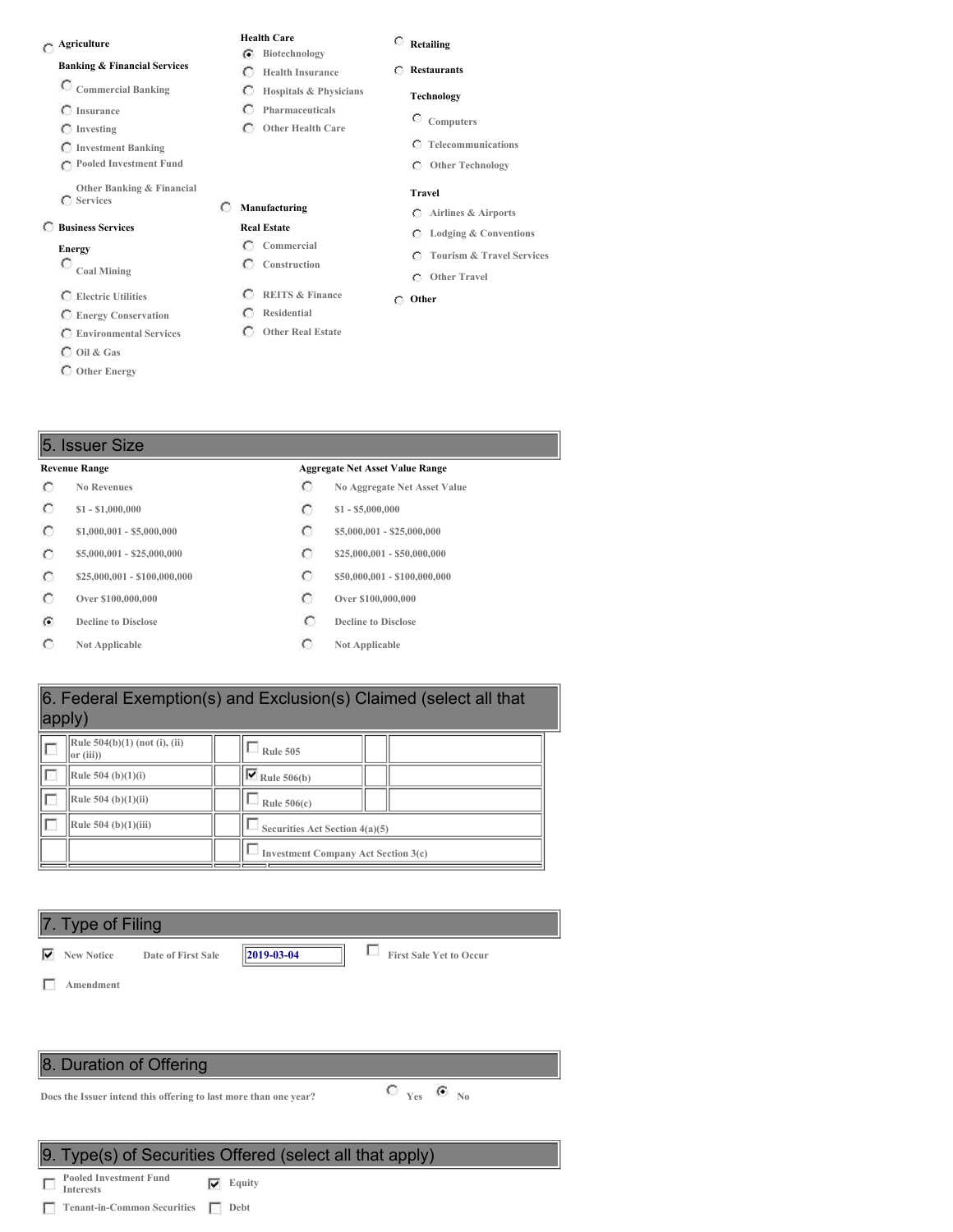## **Agriculture**

### **Banking & Financial Services**

- **Commercial Banking**
- **Insurance**
- **Investing**
- **Investment Banking**

**Pooled Investment Fund**

**Other Banking & Financial Services**

### **Business Services**

- **Energy**
- **Coal Mining**
- **Electric Utilities**
- **Energy Conservation**
- **Environmental Services**
- **Oil & Gas**
- **Other Energy**

### **Retailing**

- **Restaurants**
	- **Technology**
	- **Computers**
- **Other Health Care**

**Health Care Biotechnology Health Insurance Hospitals & Physicians Pharmaceuticals**

 $\subset$  $\cap$ 

**Manufacturing Real Estate Commercial Construction**

> **REITS & Finance Residential Other Real Estate**

- **Telecommunications**
- **Other Technology**

### **Travel**

- **Airlines & Airports**
- **Lodging & Conventions**
- **Tourism & Travel Services**
- **Other Travel**

### **Other**

### 5. Issuer Size

 $\circ$  $\circ$  $\circ$  $\circ$  $\circ$  $\circ$  $\widehat{G}$  $\circ$ 

### **Revenue Range Aggregate Net Asset Value Range**

- **No Revenues No Aggregate Net Asset Value**
- **\$1 - \$1,000,000 \$1 - \$5,000,000**
- **\$1,000,001 - \$5,000,000 \$5,000,000 \$5,000,001 \$25,000,000**
- **\$5,000,001 - \$25,000,000 \$25,000,000 \$25,000,001 \$50,000,000**
- **\$25,000,001 - \$100,000,000 \$50,000,001 - \$100,000,000**
- **Over \$100,000,000 Over \$100,000,000**
- **Decline to Disclose Decline Decline Decline Disclose**
- **Not Applicable Not Applicable**

## 6. Federal Exemption(s) and Exclusion(s) Claimed (select all that apply)

| Rule $504(b)(1)$ (not (i), (ii)<br>or (iii) | <b>Rule 505</b>                            |
|---------------------------------------------|--------------------------------------------|
| Rule $504$ (b)(1)(i)                        | $\sqrt{\mathbf{V}}$ Rule 506(b)            |
| Rule 504 (b) $(1)(ii)$                      | Rule $506(c)$                              |
| Rule 504 (b) $(1)(iii)$                     | Securities Act Section 4(a)(5)             |
|                                             | <b>Investment Company Act Section 3(c)</b> |

### 7. Type of Filing

**New Notice Date of First Sale 2019-03-04 First Sale Yet to Occur**

**Amendment**

г

### 8. Duration of Offering

**Does** the Issuer intend this offering to last more than one year?  $\bullet$  **Yes G** No

### 9. Type(s) of Securities Offered (select all that apply)

**Pooled Investment Fund Interests Equity**

**Tenant-in-Common Securities Debt**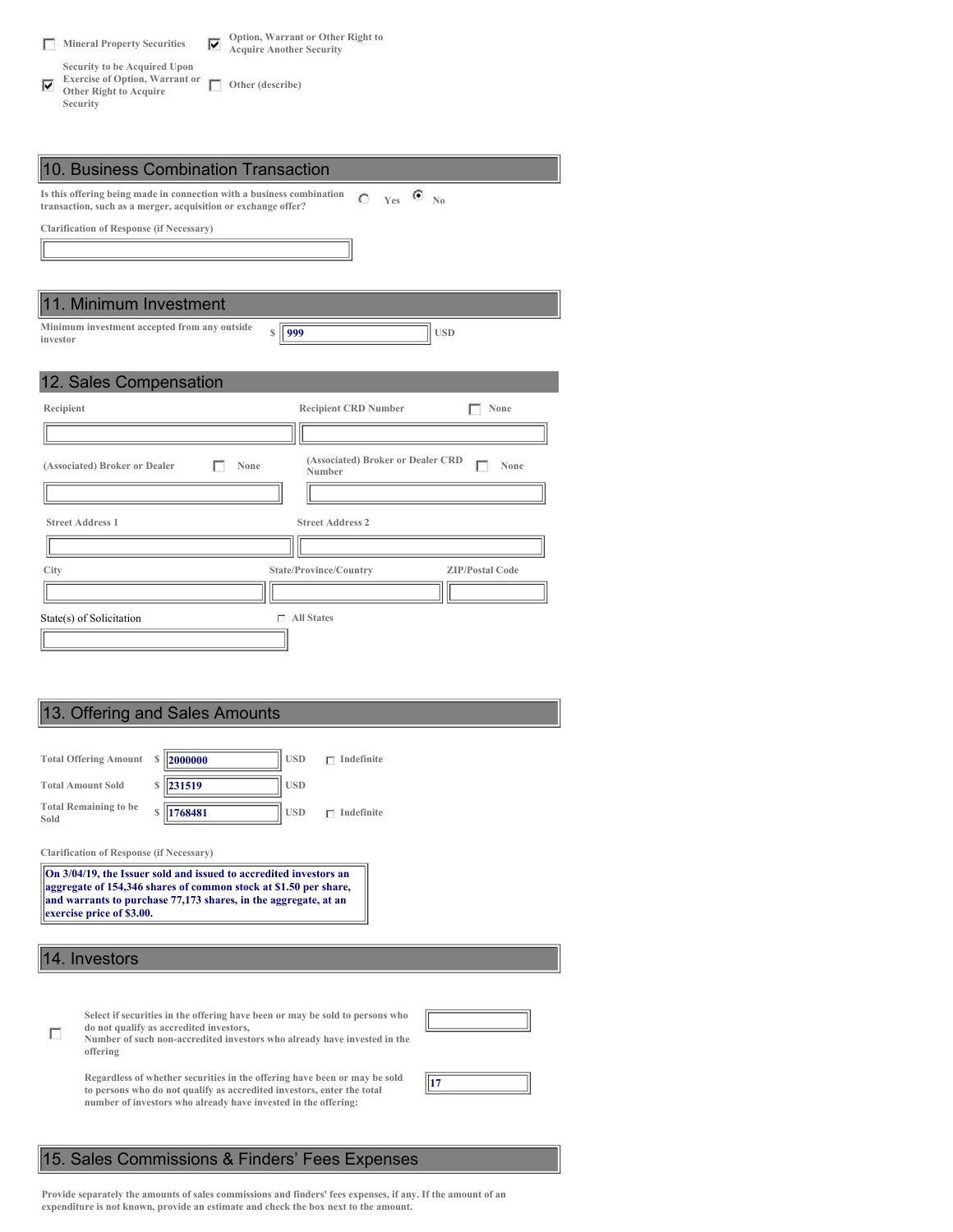|    | <b>Mineral Property Securities</b>                                                                                 | M | Option, Warrant or Other Right to<br><b>Acquire Another Security</b> |
|----|--------------------------------------------------------------------------------------------------------------------|---|----------------------------------------------------------------------|
| 1Й | Security to be Acquired Upon<br><b>Exercise of Option, Warrant or</b><br><b>Other Right to Acquire</b><br>Security |   | Other (describe)                                                     |

| 10. Business Combination Transaction                                                                                                                           |
|----------------------------------------------------------------------------------------------------------------------------------------------------------------|
| Is this offering being made in connection with a business combination<br>$C$ Yes $\bullet$ No<br>transaction, such as a merger, acquisition or exchange offer? |
| <b>Clarification of Response (if Necessary)</b>                                                                                                                |
|                                                                                                                                                                |
|                                                                                                                                                                |
| 11. Minimum Investment                                                                                                                                         |
| Minimum investment accepted from any outside<br>999<br><b>USD</b><br>$\mathcal{S}$<br>investor                                                                 |
| 12. Sales Compensation                                                                                                                                         |
| <b>Recipient CRD Number</b><br>Recipient<br>None                                                                                                               |
|                                                                                                                                                                |
| (Associated) Broker or Dealer CRD<br>(Associated) Broker or Dealer<br>None<br>None<br>Number                                                                   |
|                                                                                                                                                                |
| <b>Street Address 1</b><br><b>Street Address 2</b>                                                                                                             |
|                                                                                                                                                                |
| City<br>State/Province/Country<br><b>ZIP/Postal Code</b>                                                                                                       |
|                                                                                                                                                                |
| $\Box$ All States<br>State(s) of Solicitation                                                                                                                  |
|                                                                                                                                                                |

## 13. Offering and Sales Amounts

| <b>Total Offering Amount</b>         | S | 2000000    | <b>USD</b> | Indefinite |
|--------------------------------------|---|------------|------------|------------|
| <b>Total Amount Sold</b>             | S | $\ 231519$ | <b>USD</b> |            |
| <b>Total Remaining to be</b><br>Sold | Ś | 1768481    | <b>USD</b> | Indefinite |

**Clarification of Response (if Necessary)**

**On 3/04/19, the Issuer sold and issued to accredited investors an aggregate of 154,346 shares of common stock at \$1.50 per share, and warrants to purchase 77,173 shares, in the aggregate, at an exercise price of \$3.00.**

14. Investors

| Select if securities in the offering have been or may be sold to persons who |  |
|------------------------------------------------------------------------------|--|
| do not qualify as accredited investors,                                      |  |

| $\Box$ | do not qualify as accredited investors,                                  |
|--------|--------------------------------------------------------------------------|
|        | Number of such non-accredited investors who already have invested in the |
|        | offering                                                                 |

| Regardless of whether securities in the offering have been or may be sold |
|---------------------------------------------------------------------------|
| to persons who do not qualify as accredited investors, enter the total    |
| number of investors who already have invested in the offering:            |



# 15. Sales Commissions & Finders' Fees Expenses

Provide separately the amounts of sales commissions and finders' fees expenses, if any. If the amount of an **expenditure is not known, provide an estimate and check the box next to the amount.**